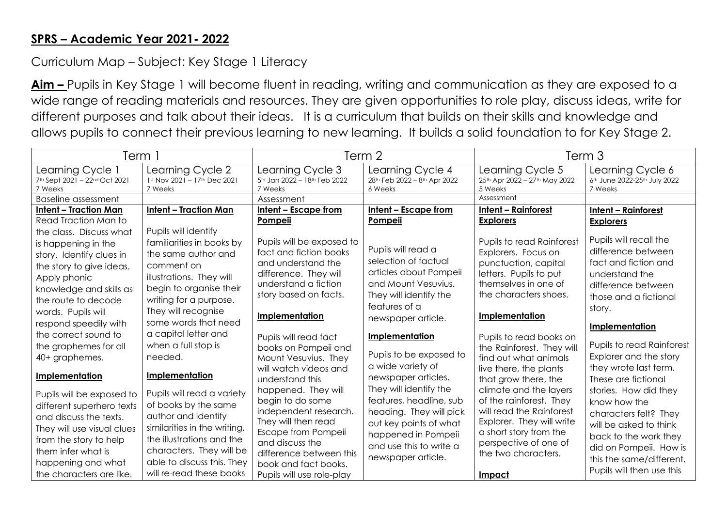## **SPRS – Academic Year 2021- 2022**

## Curriculum Map – Subject: Key Stage 1 Literacy

**Aim –** Pupils in Key Stage 1 will become fluent in reading, writing and communication as they are exposed to a wide range of reading materials and resources. They are given opportunities to role play, discuss ideas, write for different purposes and talk about their ideas. It is a curriculum that builds on their skills and knowledge and allows pupils to connect their previous learning to new learning. It builds a solid foundation to for Key Stage 2.

| Term 1                                                       |                                                             | Term 2                                                      |                                                                                     | Term 3                                                       |                                                                                     |
|--------------------------------------------------------------|-------------------------------------------------------------|-------------------------------------------------------------|-------------------------------------------------------------------------------------|--------------------------------------------------------------|-------------------------------------------------------------------------------------|
| Learning Cycle 1<br>7th Sept 2021 - 22nd Oct 2021<br>7 Weeks | Learning Cycle 2<br>1st Nov 2021 - 17th Dec 2021<br>7 Weeks | Learning Cycle 3<br>5th Jan 2022 - 18th Feb 2022<br>7 Weeks | Learning Cycle 4<br>28 <sup>th</sup> Feb 2022 - 8 <sup>th</sup> Apr 2022<br>6 Weeks | Learning Cycle 5<br>25th Apr 2022 - 27th May 2022<br>5 Weeks | Learning Cycle 6<br>6 <sup>th</sup> June 2022-25 <sup>th</sup> July 2022<br>7 Weeks |
| <b>Baseline assessment</b>                                   |                                                             | Assessment                                                  |                                                                                     | Assessment                                                   |                                                                                     |
| <b>Intent - Traction Man</b>                                 | <b>Intent - Traction Man</b>                                | Intent - Escape from                                        | Intent - Escape from                                                                | <b>Intent - Rainforest</b>                                   | <b>Intent - Rainforest</b>                                                          |
| Read Traction Man to                                         |                                                             | Pompeii                                                     | Pompeii                                                                             | <b>Explorers</b>                                             | <b>Explorers</b>                                                                    |
| the class. Discuss what                                      | Pupils will identify                                        |                                                             |                                                                                     |                                                              |                                                                                     |
| is happening in the                                          | familiarities in books by                                   | Pupils will be exposed to                                   | Pupils will read a                                                                  | <b>Pupils to read Rainforest</b>                             | Pupils will recall the                                                              |
| story. Identify clues in                                     | the same author and                                         | fact and fiction books                                      | selection of factual                                                                | Explorers. Focus on                                          | difference between                                                                  |
| the story to give ideas.                                     | comment on                                                  | and understand the                                          | articles about Pompeii                                                              | punctuation, capital                                         | fact and fiction and                                                                |
| Apply phonic                                                 | illustrations. They will                                    | difference. They will<br>understand a fiction               | and Mount Vesuvius.                                                                 | letters. Pupils to put<br>themselves in one of               | understand the                                                                      |
| knowledge and skills as                                      | begin to organise their                                     | story based on facts.                                       | They will identify the                                                              | the characters shoes.                                        | difference between                                                                  |
| the route to decode                                          | writing for a purpose.                                      |                                                             | features of a                                                                       |                                                              | those and a fictional                                                               |
| words. Pupils will                                           | They will recognise                                         | Implementation                                              | newspaper article.                                                                  | Implementation                                               | story.                                                                              |
| respond speedily with                                        | some words that need                                        |                                                             |                                                                                     |                                                              | Implementation                                                                      |
| the correct sound to                                         | a capital letter and                                        | Pupils will read fact                                       | Implementation                                                                      | Pupils to read books on                                      |                                                                                     |
| the graphemes for all                                        | when a full stop is                                         | books on Pompeii and                                        |                                                                                     | the Rainforest. They will                                    | <b>Pupils to read Rainforest</b>                                                    |
| 40+ graphemes.                                               | needed.                                                     | Mount Vesuvius. They                                        | Pupils to be exposed to                                                             | find out what animals                                        | Explorer and the story                                                              |
| Implementation                                               | Implementation                                              | will watch videos and<br>understand this                    | a wide variety of<br>newspaper articles.                                            | live there, the plants<br>that grow there, the               | they wrote last term.<br>These are fictional                                        |
| Pupils will be exposed to                                    | Pupils will read a variety                                  | happened. They will                                         | They will identify the                                                              | climate and the layers                                       | stories. How did they                                                               |
| different superhero texts                                    | of books by the same                                        | begin to do some                                            | features, headline, sub                                                             | of the rainforest. They                                      | know how the                                                                        |
| and discuss the texts.                                       | author and identify                                         | independent research.                                       | heading. They will pick                                                             | will read the Rainforest                                     | characters felt? They                                                               |
| They will use visual clues                                   | similarities in the writing.                                | They will then read                                         | out key points of what                                                              | Explorer. They will write                                    | will be asked to think                                                              |
| from the story to help                                       | the illustrations and the                                   | Escape from Pompeii                                         | happened in Pompeii                                                                 | a short story from the                                       | back to the work they                                                               |
| them infer what is                                           | characters. They will be                                    | and discuss the<br>difference between this                  | and use this to write a                                                             | perspective of one of<br>the two characters.                 | did on Pompeii. How is                                                              |
| happening and what                                           | able to discuss this. They                                  | book and fact books.                                        | newspaper article.                                                                  |                                                              | this the same/different.                                                            |
| the characters are like.                                     | will re-read these books                                    | Pupils will use role-play                                   |                                                                                     | Impact                                                       | Pupils will then use this                                                           |